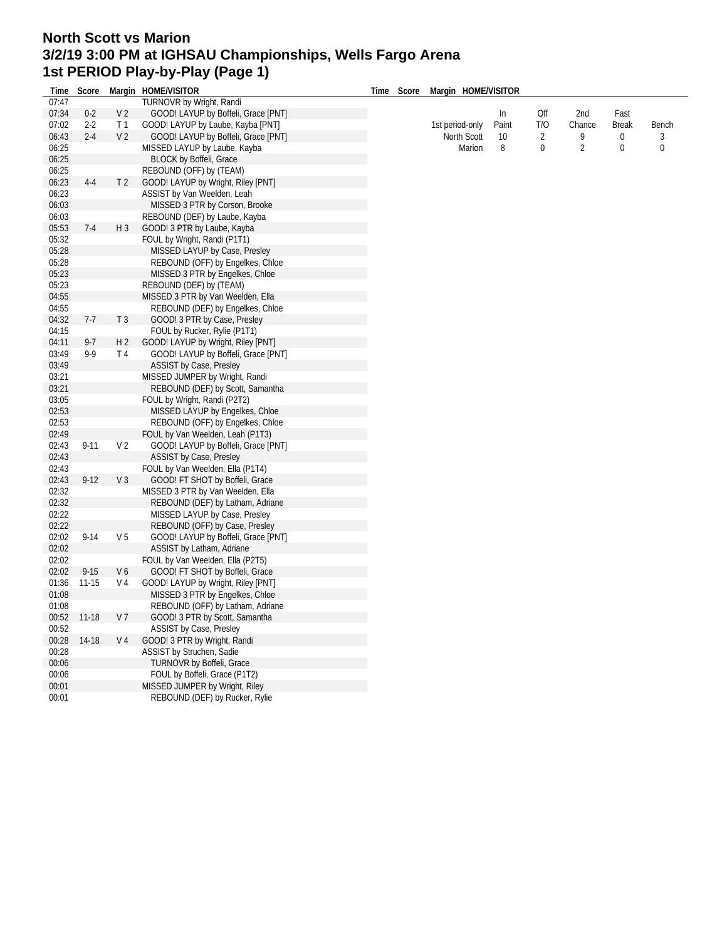## **North Scott vs Marion 3/2/19 3:00 PM at IGHSAU Championships, Wells Fargo Arena 1st PERIOD Play-by-Play (Page 1)**

| Time  | Score     |                | Margin HOME/VISITOR                 | Time | Score | Margin HOME/VISITOR |       |                |                |              |              |
|-------|-----------|----------------|-------------------------------------|------|-------|---------------------|-------|----------------|----------------|--------------|--------------|
| 07:47 |           |                | TURNOVR by Wright, Randi            |      |       |                     |       |                |                |              |              |
| 07:34 | $0 - 2$   | V <sub>2</sub> | GOOD! LAYUP by Boffeli, Grace [PNT] |      |       |                     | In    | Off            | 2nd            | Fast         |              |
| 07:02 | $2 - 2$   | T <sub>1</sub> | GOOD! LAYUP by Laube, Kayba [PNT]   |      |       | 1st period-only     | Paint | T/O            | Chance         | <b>Break</b> | Bench        |
| 06:43 | $2 - 4$   | V <sub>2</sub> | GOOD! LAYUP by Boffeli, Grace [PNT] |      |       | North Scott         | 10    | $\overline{2}$ | 9              | 0            | 3            |
| 06:25 |           |                | MISSED LAYUP by Laube, Kayba        |      |       | Marion              | 8     | 0              | $\overline{2}$ | 0            | $\mathbf{0}$ |
| 06:25 |           |                | <b>BLOCK by Boffeli, Grace</b>      |      |       |                     |       |                |                |              |              |
| 06:25 |           |                | REBOUND (OFF) by (TEAM)             |      |       |                     |       |                |                |              |              |
| 06:23 | $4 - 4$   | T <sub>2</sub> | GOOD! LAYUP by Wright, Riley [PNT]  |      |       |                     |       |                |                |              |              |
| 06:23 |           |                | ASSIST by Van Weelden, Leah         |      |       |                     |       |                |                |              |              |
| 06:03 |           |                | MISSED 3 PTR by Corson, Brooke      |      |       |                     |       |                |                |              |              |
| 06:03 |           |                | REBOUND (DEF) by Laube, Kayba       |      |       |                     |       |                |                |              |              |
| 05:53 | $7-4$     | $H_3$          | GOOD! 3 PTR by Laube, Kayba         |      |       |                     |       |                |                |              |              |
|       |           |                | FOUL by Wright, Randi (P1T1)        |      |       |                     |       |                |                |              |              |
| 05:32 |           |                |                                     |      |       |                     |       |                |                |              |              |
| 05:28 |           |                | MISSED LAYUP by Case, Presley       |      |       |                     |       |                |                |              |              |
| 05:28 |           |                | REBOUND (OFF) by Engelkes, Chloe    |      |       |                     |       |                |                |              |              |
| 05:23 |           |                | MISSED 3 PTR by Engelkes, Chloe     |      |       |                     |       |                |                |              |              |
| 05:23 |           |                | REBOUND (DEF) by (TEAM)             |      |       |                     |       |                |                |              |              |
| 04:55 |           |                | MISSED 3 PTR by Van Weelden, Ella   |      |       |                     |       |                |                |              |              |
| 04:55 |           |                | REBOUND (DEF) by Engelkes, Chloe    |      |       |                     |       |                |                |              |              |
| 04:32 | $7-7$     | T <sub>3</sub> | GOOD! 3 PTR by Case, Presley        |      |       |                     |       |                |                |              |              |
| 04:15 |           |                | FOUL by Rucker, Rylie (P1T1)        |      |       |                     |       |                |                |              |              |
| 04:11 | $9-7$     | H <sub>2</sub> | GOOD! LAYUP by Wright, Riley [PNT]  |      |       |                     |       |                |                |              |              |
| 03:49 | 9-9       | T 4            | GOOD! LAYUP by Boffeli, Grace [PNT] |      |       |                     |       |                |                |              |              |
| 03:49 |           |                | <b>ASSIST by Case, Presley</b>      |      |       |                     |       |                |                |              |              |
| 03:21 |           |                | MISSED JUMPER by Wright, Randi      |      |       |                     |       |                |                |              |              |
| 03:21 |           |                | REBOUND (DEF) by Scott, Samantha    |      |       |                     |       |                |                |              |              |
| 03:05 |           |                | FOUL by Wright, Randi (P2T2)        |      |       |                     |       |                |                |              |              |
| 02:53 |           |                | MISSED LAYUP by Engelkes, Chloe     |      |       |                     |       |                |                |              |              |
| 02:53 |           |                | REBOUND (OFF) by Engelkes, Chloe    |      |       |                     |       |                |                |              |              |
| 02:49 |           |                | FOUL by Van Weelden, Leah (P1T3)    |      |       |                     |       |                |                |              |              |
| 02:43 | $9 - 11$  | V <sub>2</sub> | GOOD! LAYUP by Boffeli, Grace [PNT] |      |       |                     |       |                |                |              |              |
| 02:43 |           |                | ASSIST by Case, Presley             |      |       |                     |       |                |                |              |              |
| 02:43 |           |                | FOUL by Van Weelden, Ella (P1T4)    |      |       |                     |       |                |                |              |              |
| 02:43 | $9 - 12$  | V <sub>3</sub> | GOOD! FT SHOT by Boffeli, Grace     |      |       |                     |       |                |                |              |              |
| 02:32 |           |                | MISSED 3 PTR by Van Weelden, Ella   |      |       |                     |       |                |                |              |              |
| 02:32 |           |                | REBOUND (DEF) by Latham, Adriane    |      |       |                     |       |                |                |              |              |
| 02:22 |           |                | MISSED LAYUP by Case, Presley       |      |       |                     |       |                |                |              |              |
| 02:22 |           |                | REBOUND (OFF) by Case, Presley      |      |       |                     |       |                |                |              |              |
| 02:02 | $9 - 14$  | V <sub>5</sub> | GOOD! LAYUP by Boffeli, Grace [PNT] |      |       |                     |       |                |                |              |              |
| 02:02 |           |                | ASSIST by Latham, Adriane           |      |       |                     |       |                |                |              |              |
| 02:02 |           |                | FOUL by Van Weelden, Ella (P2T5)    |      |       |                     |       |                |                |              |              |
| 02:02 |           | V6             | GOOD! FT SHOT by Boffeli, Grace     |      |       |                     |       |                |                |              |              |
|       | $9-15$    |                | GOOD! LAYUP by Wright, Riley [PNT]  |      |       |                     |       |                |                |              |              |
| 01:36 | $11 - 15$ | V 4            |                                     |      |       |                     |       |                |                |              |              |
| 01:08 |           |                | MISSED 3 PTR by Engelkes, Chloe     |      |       |                     |       |                |                |              |              |
| 01:08 |           |                | REBOUND (OFF) by Latham, Adriane    |      |       |                     |       |                |                |              |              |
| 00:52 | $11-18$   | V <sub>7</sub> | GOOD! 3 PTR by Scott, Samantha      |      |       |                     |       |                |                |              |              |
| 00:52 |           |                | ASSIST by Case, Presley             |      |       |                     |       |                |                |              |              |
| 00:28 | 14-18     | V 4            | GOOD! 3 PTR by Wright, Randi        |      |       |                     |       |                |                |              |              |
| 00:28 |           |                | ASSIST by Struchen, Sadie           |      |       |                     |       |                |                |              |              |
| 00:06 |           |                | TURNOVR by Boffeli, Grace           |      |       |                     |       |                |                |              |              |
| 00:06 |           |                | FOUL by Boffeli, Grace (P1T2)       |      |       |                     |       |                |                |              |              |
| 00:01 |           |                | MISSED JUMPER by Wright, Riley      |      |       |                     |       |                |                |              |              |
| 00:01 |           |                | REBOUND (DEF) by Rucker, Rylie      |      |       |                     |       |                |                |              |              |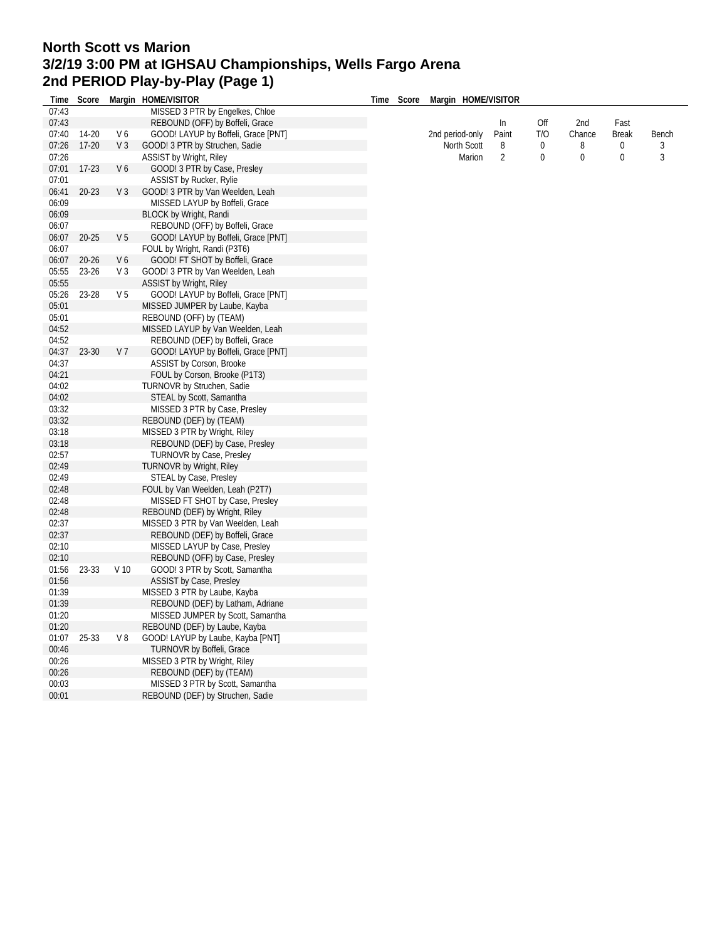## **North Scott vs Marion 3/2/19 3:00 PM at IGHSAU Championships, Wells Fargo Arena 2nd PERIOD Play-by-Play (Page 1) Time Score Margin HOME/VISITOR**

| Time  | Score     |                 | Margin HOME/VISITOR                 | Time | Score | Margin HOME/VISITOR |                |          |          |                |       |
|-------|-----------|-----------------|-------------------------------------|------|-------|---------------------|----------------|----------|----------|----------------|-------|
| 07:43 |           |                 | MISSED 3 PTR by Engelkes, Chloe     |      |       |                     |                |          |          |                |       |
| 07:43 |           |                 | REBOUND (OFF) by Boffeli, Grace     |      |       |                     | $\ln$          | Off      | 2nd      | Fast           |       |
| 07:40 | 14-20     | V6              | GOOD! LAYUP by Boffeli, Grace [PNT] |      |       | 2nd period-only     | Paint          | T/O      | Chance   | <b>Break</b>   | Bench |
| 07:26 | $17-20$   | V <sub>3</sub>  | GOOD! 3 PTR by Struchen, Sadie      |      |       | North Scott         | 8              | 0        | 8        | 0              | 3     |
| 07:26 |           |                 | <b>ASSIST by Wright, Riley</b>      |      |       | Marion              | $\overline{2}$ | $\Omega$ | $\theta$ | $\overline{0}$ | 3     |
| 07:01 | $17-23$   | V6              | GOOD! 3 PTR by Case, Presley        |      |       |                     |                |          |          |                |       |
| 07:01 |           |                 | <b>ASSIST by Rucker, Rylie</b>      |      |       |                     |                |          |          |                |       |
| 06:41 | $20 - 23$ | V <sub>3</sub>  | GOOD! 3 PTR by Van Weelden, Leah    |      |       |                     |                |          |          |                |       |
| 06:09 |           |                 | MISSED LAYUP by Boffeli, Grace      |      |       |                     |                |          |          |                |       |
| 06:09 |           |                 | <b>BLOCK by Wright, Randi</b>       |      |       |                     |                |          |          |                |       |
| 06:07 |           |                 | REBOUND (OFF) by Boffeli, Grace     |      |       |                     |                |          |          |                |       |
| 06:07 | $20 - 25$ | V <sub>5</sub>  | GOOD! LAYUP by Boffeli, Grace [PNT] |      |       |                     |                |          |          |                |       |
| 06:07 |           |                 | FOUL by Wright, Randi (P3T6)        |      |       |                     |                |          |          |                |       |
| 06:07 | $20 - 26$ | V6              | GOOD! FT SHOT by Boffeli, Grace     |      |       |                     |                |          |          |                |       |
|       |           |                 |                                     |      |       |                     |                |          |          |                |       |
| 05:55 | $23 - 26$ | V <sub>3</sub>  | GOOD! 3 PTR by Van Weelden, Leah    |      |       |                     |                |          |          |                |       |
| 05:55 |           |                 | <b>ASSIST by Wright, Riley</b>      |      |       |                     |                |          |          |                |       |
| 05:26 | 23-28     | V <sub>5</sub>  | GOOD! LAYUP by Boffeli, Grace [PNT] |      |       |                     |                |          |          |                |       |
| 05:01 |           |                 | MISSED JUMPER by Laube, Kayba       |      |       |                     |                |          |          |                |       |
| 05:01 |           |                 | REBOUND (OFF) by (TEAM)             |      |       |                     |                |          |          |                |       |
| 04:52 |           |                 | MISSED LAYUP by Van Weelden, Leah   |      |       |                     |                |          |          |                |       |
| 04:52 |           |                 | REBOUND (DEF) by Boffeli, Grace     |      |       |                     |                |          |          |                |       |
| 04:37 | 23-30     | V <sub>7</sub>  | GOOD! LAYUP by Boffeli, Grace [PNT] |      |       |                     |                |          |          |                |       |
| 04:37 |           |                 | ASSIST by Corson, Brooke            |      |       |                     |                |          |          |                |       |
| 04:21 |           |                 | FOUL by Corson, Brooke (P1T3)       |      |       |                     |                |          |          |                |       |
| 04:02 |           |                 | TURNOVR by Struchen, Sadie          |      |       |                     |                |          |          |                |       |
| 04:02 |           |                 | STEAL by Scott, Samantha            |      |       |                     |                |          |          |                |       |
| 03:32 |           |                 | MISSED 3 PTR by Case, Presley       |      |       |                     |                |          |          |                |       |
| 03:32 |           |                 | REBOUND (DEF) by (TEAM)             |      |       |                     |                |          |          |                |       |
| 03:18 |           |                 | MISSED 3 PTR by Wright, Riley       |      |       |                     |                |          |          |                |       |
| 03:18 |           |                 | REBOUND (DEF) by Case, Presley      |      |       |                     |                |          |          |                |       |
| 02:57 |           |                 | <b>TURNOVR by Case, Presley</b>     |      |       |                     |                |          |          |                |       |
| 02:49 |           |                 | TURNOVR by Wright, Riley            |      |       |                     |                |          |          |                |       |
| 02:49 |           |                 | STEAL by Case, Presley              |      |       |                     |                |          |          |                |       |
| 02:48 |           |                 | FOUL by Van Weelden, Leah (P2T7)    |      |       |                     |                |          |          |                |       |
| 02:48 |           |                 | MISSED FT SHOT by Case, Presley     |      |       |                     |                |          |          |                |       |
| 02:48 |           |                 | REBOUND (DEF) by Wright, Riley      |      |       |                     |                |          |          |                |       |
| 02:37 |           |                 | MISSED 3 PTR by Van Weelden, Leah   |      |       |                     |                |          |          |                |       |
| 02:37 |           |                 | REBOUND (DEF) by Boffeli, Grace     |      |       |                     |                |          |          |                |       |
| 02:10 |           |                 | MISSED LAYUP by Case, Presley       |      |       |                     |                |          |          |                |       |
| 02:10 |           |                 | REBOUND (OFF) by Case, Presley      |      |       |                     |                |          |          |                |       |
| 01:56 | 23-33     | V <sub>10</sub> | GOOD! 3 PTR by Scott, Samantha      |      |       |                     |                |          |          |                |       |
|       |           |                 |                                     |      |       |                     |                |          |          |                |       |
| 01:56 |           |                 | <b>ASSIST by Case, Presley</b>      |      |       |                     |                |          |          |                |       |
| 01:39 |           |                 | MISSED 3 PTR by Laube, Kayba        |      |       |                     |                |          |          |                |       |
| 01:39 |           |                 | REBOUND (DEF) by Latham, Adriane    |      |       |                     |                |          |          |                |       |
| 01:20 |           |                 | MISSED JUMPER by Scott, Samantha    |      |       |                     |                |          |          |                |       |
| 01:20 |           |                 | REBOUND (DEF) by Laube, Kayba       |      |       |                     |                |          |          |                |       |
| 01:07 | 25-33     | V8              | GOOD! LAYUP by Laube, Kayba [PNT]   |      |       |                     |                |          |          |                |       |
| 00:46 |           |                 | <b>TURNOVR by Boffeli, Grace</b>    |      |       |                     |                |          |          |                |       |
| 00:26 |           |                 | MISSED 3 PTR by Wright, Riley       |      |       |                     |                |          |          |                |       |
| 00:26 |           |                 | REBOUND (DEF) by (TEAM)             |      |       |                     |                |          |          |                |       |
| 00:03 |           |                 | MISSED 3 PTR by Scott, Samantha     |      |       |                     |                |          |          |                |       |
| 00:01 |           |                 | REBOUND (DEF) by Struchen, Sadie    |      |       |                     |                |          |          |                |       |
|       |           |                 |                                     |      |       |                     |                |          |          |                |       |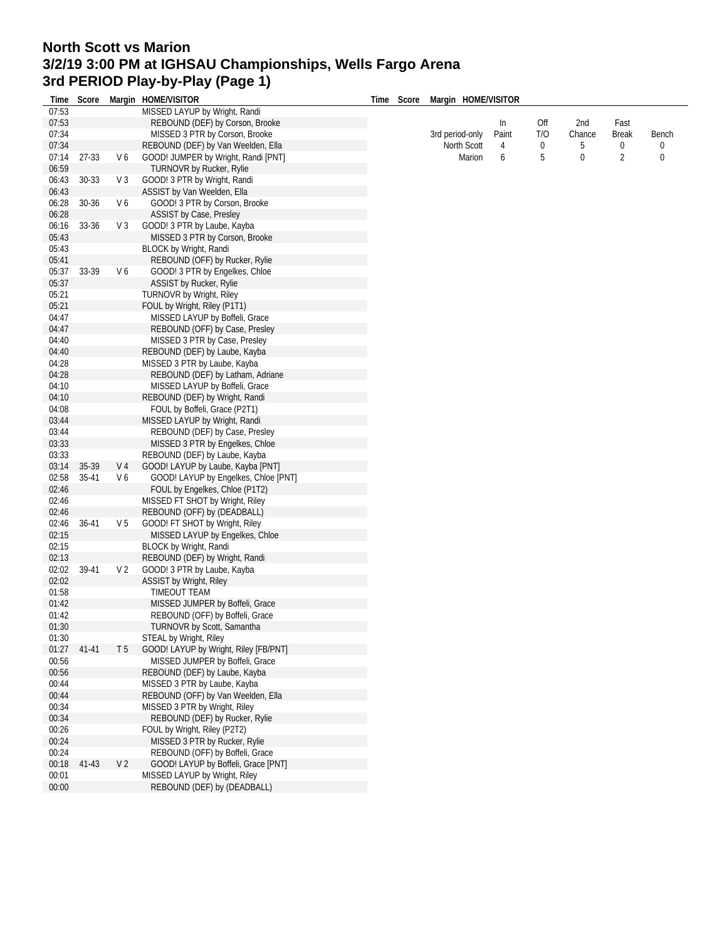## **North Scott vs Marion 3/2/19 3:00 PM at IGHSAU Championships, Wells Fargo Arena 3rd PERIOD Play-by-Play (Page 1)**

|       |           |                |                                                                 |            | Margin HOME/VISITOR |       |     |        |                |       |
|-------|-----------|----------------|-----------------------------------------------------------------|------------|---------------------|-------|-----|--------|----------------|-------|
| 07:53 |           |                | Time Score Margin HOME/VISITOR<br>MISSED LAYUP by Wright, Randi | Time Score |                     |       |     |        |                |       |
| 07:53 |           |                | REBOUND (DEF) by Corson, Brooke                                 |            |                     | In    | Off | 2nd    | Fast           |       |
| 07:34 |           |                |                                                                 |            |                     | Paint | T/O | Chance |                |       |
|       |           |                | MISSED 3 PTR by Corson, Brooke                                  |            | 3rd period-only     |       |     |        | <b>Break</b>   | Bench |
| 07:34 |           |                | REBOUND (DEF) by Van Weelden, Ella                              |            | North Scott         | 4     | 0   | 5      | 0              | 0     |
| 07:14 | 27-33     | V6             | GOOD! JUMPER by Wright, Randi [PNT]                             |            | Marion              | 6     | 5   | 0      | $\overline{2}$ | 0     |
| 06:59 |           |                | <b>TURNOVR by Rucker, Rylie</b>                                 |            |                     |       |     |        |                |       |
| 06:43 | 30-33     | V <sub>3</sub> | GOOD! 3 PTR by Wright, Randi                                    |            |                     |       |     |        |                |       |
| 06:43 |           |                | ASSIST by Van Weelden, Ella                                     |            |                     |       |     |        |                |       |
| 06:28 | 30-36     | V6             | GOOD! 3 PTR by Corson, Brooke                                   |            |                     |       |     |        |                |       |
| 06:28 |           |                | ASSIST by Case, Presley                                         |            |                     |       |     |        |                |       |
| 06:16 | 33-36     | V <sub>3</sub> | GOOD! 3 PTR by Laube, Kayba                                     |            |                     |       |     |        |                |       |
| 05:43 |           |                | MISSED 3 PTR by Corson, Brooke                                  |            |                     |       |     |        |                |       |
| 05:43 |           |                | <b>BLOCK by Wright, Randi</b>                                   |            |                     |       |     |        |                |       |
| 05:41 |           |                | REBOUND (OFF) by Rucker, Rylie                                  |            |                     |       |     |        |                |       |
| 05:37 | 33-39     | V6             | GOOD! 3 PTR by Engelkes, Chloe                                  |            |                     |       |     |        |                |       |
| 05:37 |           |                | ASSIST by Rucker, Rylie                                         |            |                     |       |     |        |                |       |
| 05:21 |           |                | <b>TURNOVR by Wright, Riley</b>                                 |            |                     |       |     |        |                |       |
| 05:21 |           |                | FOUL by Wright, Riley (P1T1)                                    |            |                     |       |     |        |                |       |
| 04:47 |           |                | MISSED LAYUP by Boffeli, Grace                                  |            |                     |       |     |        |                |       |
| 04:47 |           |                | REBOUND (OFF) by Case, Presley                                  |            |                     |       |     |        |                |       |
| 04:40 |           |                | MISSED 3 PTR by Case, Presley                                   |            |                     |       |     |        |                |       |
| 04:40 |           |                | REBOUND (DEF) by Laube, Kayba                                   |            |                     |       |     |        |                |       |
| 04:28 |           |                | MISSED 3 PTR by Laube, Kayba                                    |            |                     |       |     |        |                |       |
|       |           |                |                                                                 |            |                     |       |     |        |                |       |
| 04:28 |           |                | REBOUND (DEF) by Latham, Adriane                                |            |                     |       |     |        |                |       |
| 04:10 |           |                | MISSED LAYUP by Boffeli, Grace                                  |            |                     |       |     |        |                |       |
| 04:10 |           |                | REBOUND (DEF) by Wright, Randi                                  |            |                     |       |     |        |                |       |
| 04:08 |           |                | FOUL by Boffeli, Grace (P2T1)                                   |            |                     |       |     |        |                |       |
| 03:44 |           |                | MISSED LAYUP by Wright, Randi                                   |            |                     |       |     |        |                |       |
| 03:44 |           |                | REBOUND (DEF) by Case, Presley                                  |            |                     |       |     |        |                |       |
| 03:33 |           |                | MISSED 3 PTR by Engelkes, Chloe                                 |            |                     |       |     |        |                |       |
| 03:33 |           |                | REBOUND (DEF) by Laube, Kayba                                   |            |                     |       |     |        |                |       |
| 03:14 | 35-39     | V 4            | GOOD! LAYUP by Laube, Kayba [PNT]                               |            |                     |       |     |        |                |       |
| 02:58 | $35 - 41$ | V6             | GOOD! LAYUP by Engelkes, Chloe [PNT]                            |            |                     |       |     |        |                |       |
| 02:46 |           |                | FOUL by Engelkes, Chloe (P1T2)                                  |            |                     |       |     |        |                |       |
| 02:46 |           |                | MISSED FT SHOT by Wright, Riley                                 |            |                     |       |     |        |                |       |
| 02:46 |           |                | REBOUND (OFF) by (DEADBALL)                                     |            |                     |       |     |        |                |       |
| 02:46 | 36-41     | V <sub>5</sub> | GOOD! FT SHOT by Wright, Riley                                  |            |                     |       |     |        |                |       |
| 02:15 |           |                | MISSED LAYUP by Engelkes, Chloe                                 |            |                     |       |     |        |                |       |
| 02:15 |           |                | <b>BLOCK by Wright, Randi</b>                                   |            |                     |       |     |        |                |       |
| 02:13 |           |                | REBOUND (DEF) by Wright, Randi                                  |            |                     |       |     |        |                |       |
| 02:02 | 39-41     | V <sub>2</sub> | GOOD! 3 PTR by Laube, Kayba                                     |            |                     |       |     |        |                |       |
| 02:02 |           |                | ASSIST by Wright, Riley                                         |            |                     |       |     |        |                |       |
| 01:58 |           |                | <b>TIMEOUT TEAM</b>                                             |            |                     |       |     |        |                |       |
| 01:42 |           |                | MISSED JUMPER by Boffeli, Grace                                 |            |                     |       |     |        |                |       |
| 01:42 |           |                | REBOUND (OFF) by Boffeli, Grace                                 |            |                     |       |     |        |                |       |
| 01:30 |           |                | TURNOVR by Scott, Samantha                                      |            |                     |       |     |        |                |       |
| 01:30 |           |                | <b>STEAL by Wright, Riley</b>                                   |            |                     |       |     |        |                |       |
| 01:27 | $41 - 41$ | T5             | GOOD! LAYUP by Wright, Riley [FB/PNT]                           |            |                     |       |     |        |                |       |
| 00:56 |           |                | MISSED JUMPER by Boffeli, Grace                                 |            |                     |       |     |        |                |       |
|       |           |                |                                                                 |            |                     |       |     |        |                |       |
| 00:56 |           |                | REBOUND (DEF) by Laube, Kayba                                   |            |                     |       |     |        |                |       |
| 00:44 |           |                | MISSED 3 PTR by Laube, Kayba                                    |            |                     |       |     |        |                |       |
| 00:44 |           |                | REBOUND (OFF) by Van Weelden, Ella                              |            |                     |       |     |        |                |       |
| 00:34 |           |                | MISSED 3 PTR by Wright, Riley                                   |            |                     |       |     |        |                |       |
| 00:34 |           |                | REBOUND (DEF) by Rucker, Rylie                                  |            |                     |       |     |        |                |       |
| 00:26 |           |                | FOUL by Wright, Riley (P2T2)                                    |            |                     |       |     |        |                |       |
| 00:24 |           |                | MISSED 3 PTR by Rucker, Rylie                                   |            |                     |       |     |        |                |       |
| 00:24 |           |                | REBOUND (OFF) by Boffeli, Grace                                 |            |                     |       |     |        |                |       |
| 00:18 | $41 - 43$ | V <sub>2</sub> | GOOD! LAYUP by Boffeli, Grace [PNT]                             |            |                     |       |     |        |                |       |
| 00:01 |           |                | MISSED LAYUP by Wright, Riley                                   |            |                     |       |     |        |                |       |
| 00:00 |           |                | REBOUND (DEF) by (DEADBALL)                                     |            |                     |       |     |        |                |       |